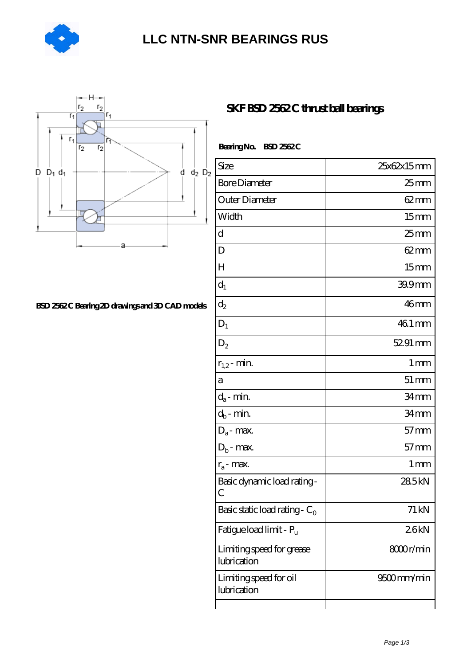

## **[LLC NTN-SNR BEARINGS RUS](https://agencel2om.com)**



## **[BSD 2562 C Bearing 2D drawings and 3D CAD models](https://agencel2om.com/pic-566790.html)**

| Bearing No. BSD 2562C                    |                    |
|------------------------------------------|--------------------|
| Size                                     | 25x62x15mm         |
| <b>Bore Diameter</b>                     | $25$ mm            |
| Outer Diameter                           | $62 \text{mm}$     |
| Width                                    | 15 <sub>mm</sub>   |
| d                                        | $25 \text{mm}$     |
| D                                        | $62 \text{mm}$     |
| H                                        | 15 <sub>mm</sub>   |
| $d_1$                                    | 39.9mm             |
| $d_2$                                    | 46 <sub>mm</sub>   |
| $D_1$                                    | 46.1 mm            |
| $D_2$                                    | 52.91 mm           |
| $r_{1,2}$ - min.                         | 1 <sub>mm</sub>    |
| a                                        | $51 \,\mathrm{mm}$ |
| $d_a$ - min.                             | 34mm               |
| $d_b$ - min.                             | 34 <sub>mm</sub>   |
| $D_a$ - max.                             | $57$ mm            |
| $D_b$ - max.                             | $57$ mm            |
| $r_a$ - max.                             | $1 \,\mathrm{mm}$  |
| Basic dynamic load rating-<br>С          | 285kN              |
| Basic static load rating - $C_0$         | 71 kN              |
| Fatigue load limit - P <sub>u</sub>      | 26kN               |
| Limiting speed for grease<br>lubrication | 8000r/min          |
| Limiting speed for oil<br>lubrication    | 9500mm/min         |

**SKF BSD 2562C thrust ball bearings**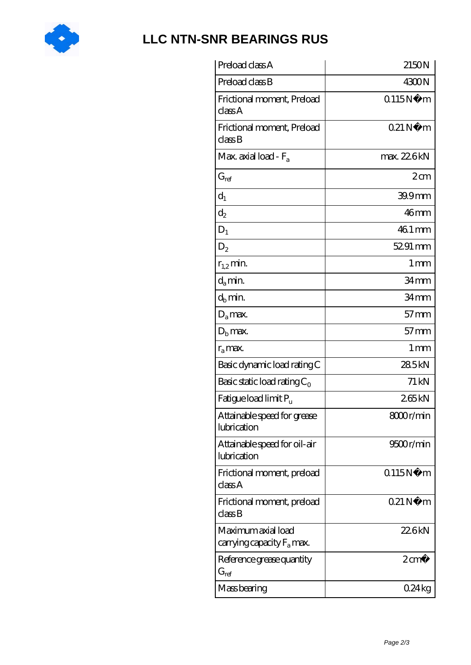

## **[LLC NTN-SNR BEARINGS RUS](https://agencel2om.com)**

| Preload class A                                          | 2150N             |
|----------------------------------------------------------|-------------------|
| Preload class B                                          | 4300N             |
| Frictional moment, Preload<br>classA                     | Q115N<br>m        |
| Frictional moment, Preload<br>$\mathrm{class}\mathrm{B}$ | 021N<br>m         |
| Max. axial load - $F_a$                                  | max. 22.6kN       |
| $G_{ref}$                                                | 2cm               |
| $d_1$                                                    | 39.9mm            |
| $\mathrm{d}_2$                                           | 46mm              |
| $D_1$                                                    | 46.1 mm           |
| $D_2$                                                    | 52.91 mm          |
| $r_{1,2}$ min.                                           | $1 \,\mathrm{mm}$ |
| $d_a$ min.                                               | 34mm              |
| $d_h$ min.                                               | 34mm              |
| $D_a$ max.                                               | $57$ mm           |
| $D_{b}$ max.                                             | $57$ mm           |
| $r_a$ max.                                               | $1 \,\mathrm{mm}$ |
| Basic dynamic load rating C                              | 285kN             |
| Basic static load rating $C_0$                           | 71 kN             |
| Fatigue load limit Pu                                    | 265kN             |
| Attainable speed for grease<br>lubrication               | 8000r/min         |
| Attainable speed for oil-air<br>lubrication              | 9500r/min         |
| Frictional moment, preload<br>classA                     | Q115N<br>m        |
| Frictional moment, preload<br>classB                     | 021N<br>m         |
| Maximum axial load<br>carrying capacity $F_a$ max.       | 226kN             |
| Reference grease quantity<br>$\mathrm{G}_{\mathrm{ref}}$ | $2 \text{ cm}^3$  |
| Mass bearing                                             | 0.24kg            |